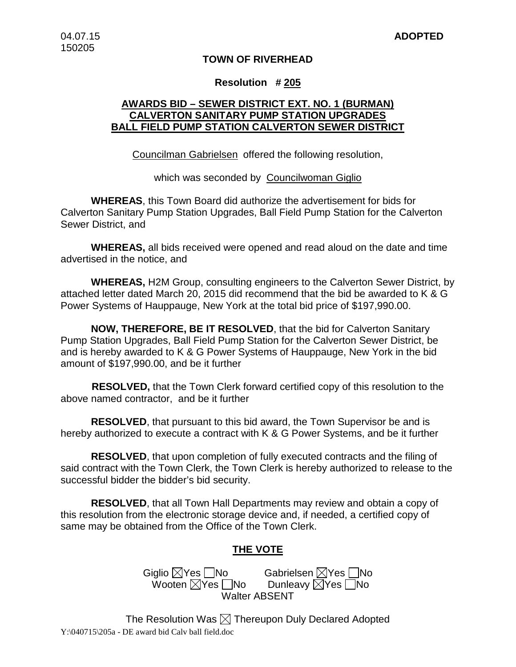#### **TOWN OF RIVERHEAD**

#### **Resolution # 205**

## **AWARDS BID – SEWER DISTRICT EXT. NO. 1 (BURMAN) CALVERTON SANITARY PUMP STATION UPGRADES BALL FIELD PUMP STATION CALVERTON SEWER DISTRICT**

Councilman Gabrielsen offered the following resolution,

which was seconded by Councilwoman Giglio

**WHEREAS**, this Town Board did authorize the advertisement for bids for Calverton Sanitary Pump Station Upgrades, Ball Field Pump Station for the Calverton Sewer District, and

**WHEREAS,** all bids received were opened and read aloud on the date and time advertised in the notice, and

**WHEREAS,** H2M Group, consulting engineers to the Calverton Sewer District, by attached letter dated March 20, 2015 did recommend that the bid be awarded to K & G Power Systems of Hauppauge, New York at the total bid price of \$197,990.00.

**NOW, THEREFORE, BE IT RESOLVED**, that the bid for Calverton Sanitary Pump Station Upgrades, Ball Field Pump Station for the Calverton Sewer District, be and is hereby awarded to K & G Power Systems of Hauppauge, New York in the bid amount of \$197,990.00, and be it further

 **RESOLVED,** that the Town Clerk forward certified copy of this resolution to the above named contractor, and be it further

**RESOLVED**, that pursuant to this bid award, the Town Supervisor be and is hereby authorized to execute a contract with K & G Power Systems, and be it further

**RESOLVED**, that upon completion of fully executed contracts and the filing of said contract with the Town Clerk, the Town Clerk is hereby authorized to release to the successful bidder the bidder's bid security.

**RESOLVED**, that all Town Hall Departments may review and obtain a copy of this resolution from the electronic storage device and, if needed, a certified copy of same may be obtained from the Office of the Town Clerk.

## **THE VOTE**

Giglio XYes No Gabrielsen XYes No<br>Wooten XYes No Dunleavy XYes No Wooten  $\boxtimes$ Yes  $\Box$ No Walter ABSENT

The Resolution Was  $\boxtimes$  Thereupon Duly Declared Adopted Y:\040715\205a - DE award bid Calv ball field.doc